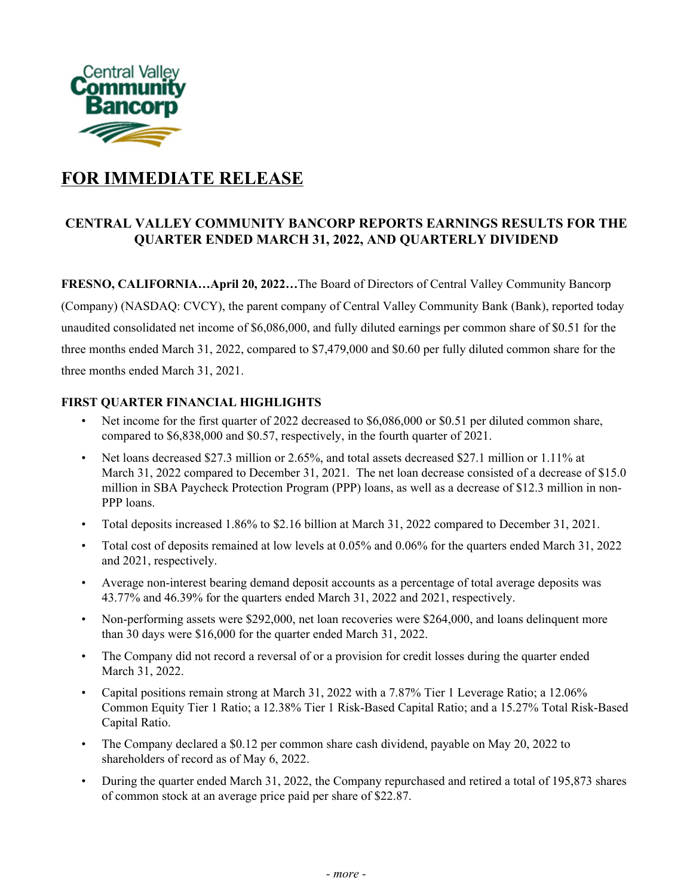

# **FOR IMMEDIATE RELEASE**

## **CENTRAL VALLEY COMMUNITY BANCORP REPORTS EARNINGS RESULTS FOR THE QUARTER ENDED MARCH 31, 2022, AND QUARTERLY DIVIDEND**

 **FRESNO, CALIFORNIA…April 20, 2022…**The Board of Directors of Central Valley Community Bancorp (Company) (NASDAQ: CVCY), the parent company of Central Valley Community Bank (Bank), reported today unaudited consolidated net income of \$6,086,000, and fully diluted earnings per common share of \$0.51 for the three months ended March 31, 2022, compared to \$7,479,000 and \$0.60 per fully diluted common share for the three months ended March 31, 2021.

## **FIRST QUARTER FINANCIAL HIGHLIGHTS**

- Net income for the first quarter of 2022 decreased to \$6,086,000 or \$0.51 per diluted common share, compared to \$6,838,000 and \$0.57, respectively, in the fourth quarter of 2021.
- Net loans decreased \$27.3 million or 2.65%, and total assets decreased \$27.1 million or 1.11% at March 31, 2022 compared to December 31, 2021. The net loan decrease consisted of a decrease of \$15.0 million in SBA Paycheck Protection Program (PPP) loans, as well as a decrease of \$12.3 million in non-PPP loans.
- Total deposits increased 1.86% to \$2.16 billion at March 31, 2022 compared to December 31, 2021.
- • Total cost of deposits remained at low levels at 0.05% and 0.06% for the quarters ended March 31, 2022 and 2021, respectively.
- • Average non-interest bearing demand deposit accounts as a percentage of total average deposits was 43.77% and 46.39% for the quarters ended March 31, 2022 and 2021, respectively.
- • Non-performing assets were \$292,000, net loan recoveries were \$264,000, and loans delinquent more than 30 days were \$16,000 for the quarter ended March 31, 2022.
- • The Company did not record a reversal of or a provision for credit losses during the quarter ended March 31, 2022.
- • Capital positions remain strong at March 31, 2022 with a 7.87% Tier 1 Leverage Ratio; a 12.06% Common Equity Tier 1 Ratio; a 12.38% Tier 1 Risk-Based Capital Ratio; and a 15.27% Total Risk-Based Capital Ratio.
- • The Company declared a \$0.12 per common share cash dividend, payable on May 20, 2022 to shareholders of record as of May 6, 2022.
- • During the quarter ended March 31, 2022, the Company repurchased and retired a total of 195,873 shares of common stock at an average price paid per share of \$22.87.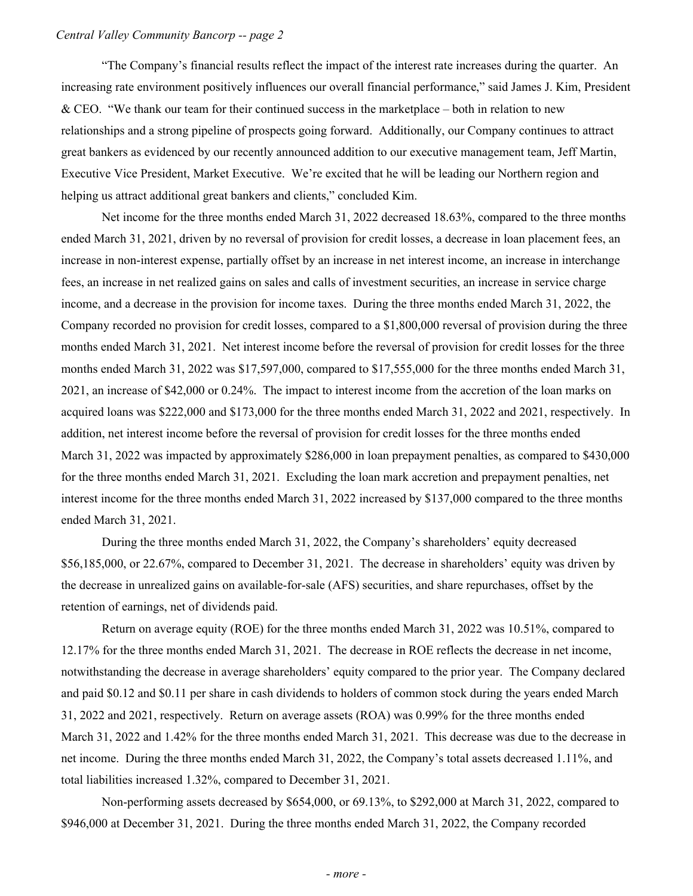"The Company's financial results reflect the impact of the interest rate increases during the quarter. An increasing rate environment positively influences our overall financial performance," said James J. Kim, President & CEO. "We thank our team for their continued success in the marketplace – both in relation to new relationships and a strong pipeline of prospects going forward. Additionally, our Company continues to attract great bankers as evidenced by our recently announced addition to our executive management team, Jeff Martin, Executive Vice President, Market Executive. We're excited that he will be leading our Northern region and helping us attract additional great bankers and clients," concluded Kim.

 Net income for the three months ended March 31, 2022 decreased 18.63%, compared to the three months ended March 31, 2021, driven by no reversal of provision for credit losses, a decrease in loan placement fees, an increase in non-interest expense, partially offset by an increase in net interest income, an increase in interchange fees, an increase in net realized gains on sales and calls of investment securities, an increase in service charge income, and a decrease in the provision for income taxes. During the three months ended March 31, 2022, the Company recorded no provision for credit losses, compared to a \$1,800,000 reversal of provision during the three months ended March 31, 2021. Net interest income before the reversal of provision for credit losses for the three months ended March 31, 2022 was \$17,597,000, compared to \$17,555,000 for the three months ended March 31, 2021, an increase of \$42,000 or 0.24%. The impact to interest income from the accretion of the loan marks on acquired loans was \$222,000 and \$173,000 for the three months ended March 31, 2022 and 2021, respectively. In addition, net interest income before the reversal of provision for credit losses for the three months ended March 31, 2022 was impacted by approximately \$286,000 in loan prepayment penalties, as compared to \$430,000 for the three months ended March 31, 2021. Excluding the loan mark accretion and prepayment penalties, net interest income for the three months ended March 31, 2022 increased by \$137,000 compared to the three months ended March 31, 2021.

 During the three months ended March 31, 2022, the Company's shareholders' equity decreased \$56,185,000, or 22.67%, compared to December 31, 2021. The decrease in shareholders' equity was driven by the decrease in unrealized gains on available-for-sale (AFS) securities, and share repurchases, offset by the retention of earnings, net of dividends paid.

 Return on average equity (ROE) for the three months ended March 31, 2022 was 10.51%, compared to 12.17% for the three months ended March 31, 2021. The decrease in ROE reflects the decrease in net income, notwithstanding the decrease in average shareholders' equity compared to the prior year. The Company declared and paid \$0.12 and \$0.11 per share in cash dividends to holders of common stock during the years ended March 31, 2022 and 2021, respectively. Return on average assets (ROA) was 0.99% for the three months ended March 31, 2022 and 1.42% for the three months ended March 31, 2021. This decrease was due to the decrease in net income. During the three months ended March 31, 2022, the Company's total assets decreased 1.11%, and total liabilities increased 1.32%, compared to December 31, 2021.

 Non-performing assets decreased by \$654,000, or 69.13%, to \$292,000 at March 31, 2022, compared to \$946,000 at December 31, 2021. During the three months ended March 31, 2022, the Company recorded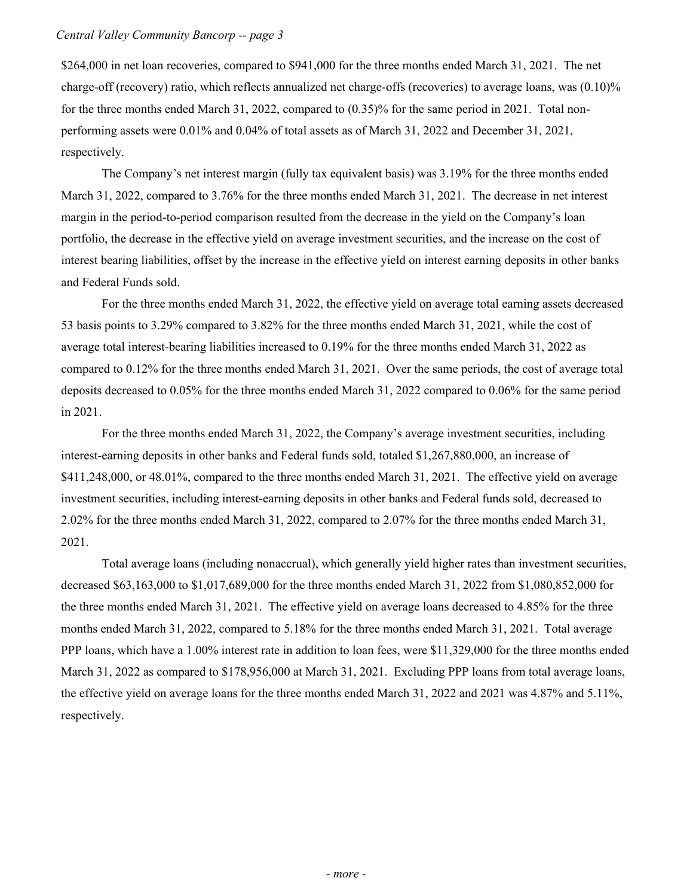\$264,000 in net loan recoveries, compared to \$941,000 for the three months ended March 31, 2021. The net charge-off (recovery) ratio, which reflects annualized net charge-offs (recoveries) to average loans, was (0.10)% for the three months ended March 31, 2022, compared to (0.35)% for the same period in 2021. Total non- performing assets were 0.01% and 0.04% of total assets as of March 31, 2022 and December 31, 2021, respectively.

 The Company's net interest margin (fully tax equivalent basis) was 3.19% for the three months ended March 31, 2022, compared to 3.76% for the three months ended March 31, 2021. The decrease in net interest margin in the period-to-period comparison resulted from the decrease in the yield on the Company's loan portfolio, the decrease in the effective yield on average investment securities, and the increase on the cost of interest bearing liabilities, offset by the increase in the effective yield on interest earning deposits in other banks and Federal Funds sold.

 For the three months ended March 31, 2022, the effective yield on average total earning assets decreased 53 basis points to 3.29% compared to 3.82% for the three months ended March 31, 2021, while the cost of average total interest-bearing liabilities increased to 0.19% for the three months ended March 31, 2022 as compared to 0.12% for the three months ended March 31, 2021. Over the same periods, the cost of average total deposits decreased to 0.05% for the three months ended March 31, 2022 compared to 0.06% for the same period in 2021.

 For the three months ended March 31, 2022, the Company's average investment securities, including interest-earning deposits in other banks and Federal funds sold, totaled \$1,267,880,000, an increase of \$411,248,000, or 48.01%, compared to the three months ended March 31, 2021. The effective yield on average investment securities, including interest-earning deposits in other banks and Federal funds sold, decreased to 2.02% for the three months ended March 31, 2022, compared to 2.07% for the three months ended March 31, 2021.

 Total average loans (including nonaccrual), which generally yield higher rates than investment securities, decreased \$63,163,000 to \$1,017,689,000 for the three months ended March 31, 2022 from \$1,080,852,000 for the three months ended March 31, 2021. The effective yield on average loans decreased to 4.85% for the three months ended March 31, 2022, compared to 5.18% for the three months ended March 31, 2021. Total average PPP loans, which have a 1.00% interest rate in addition to loan fees, were \$11,329,000 for the three months ended March 31, 2022 as compared to \$178,956,000 at March 31, 2021. Excluding PPP loans from total average loans, the effective yield on average loans for the three months ended March 31, 2022 and 2021 was 4.87% and 5.11%, respectively.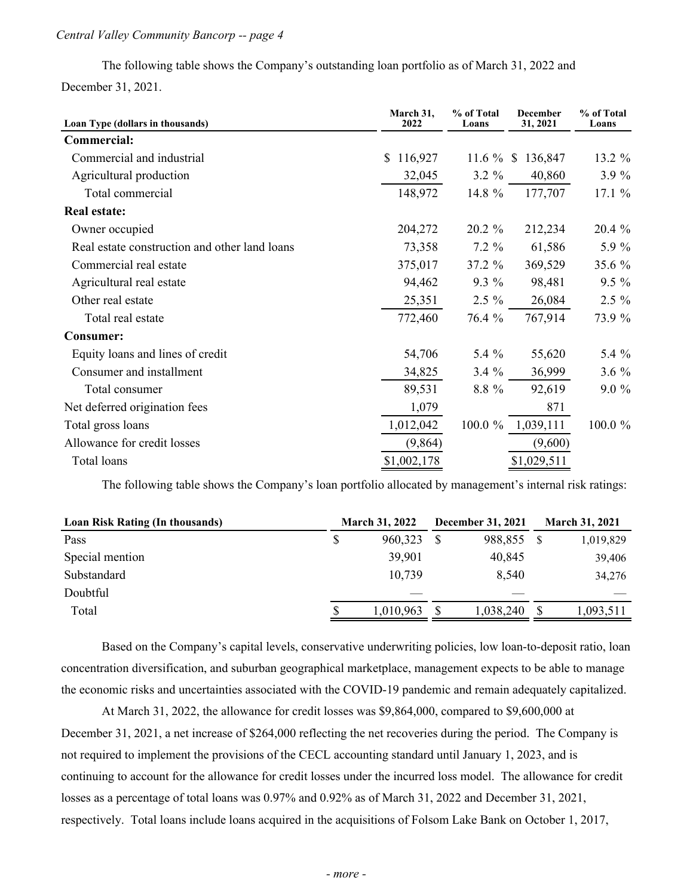The following table shows the Company's outstanding loan portfolio as of March 31, 2022 and December 31, 2021.

| Loan Type (dollars in thousands)              | March 31,<br>2022 | % of Total<br>Loans | December<br>31, 2021 | % of Total<br>Loans |  |
|-----------------------------------------------|-------------------|---------------------|----------------------|---------------------|--|
| <b>Commercial:</b>                            |                   |                     |                      |                     |  |
| Commercial and industrial                     | 116,927<br>\$     | 11.6 $%$ \$         | 136,847              | 13.2 %              |  |
| Agricultural production                       | 32,045            | $3.2 \%$            | 40,860               | 3.9%                |  |
| Total commercial                              | 148,972           | 14.8 %              | 177,707              | 17.1 %              |  |
| <b>Real estate:</b>                           |                   |                     |                      |                     |  |
| Owner occupied                                | 204,272           | $20.2 \%$           | 212,234              | 20.4 %              |  |
| Real estate construction and other land loans | 73,358            | $7.2 \%$            | 61,586               | 5.9 %               |  |
| Commercial real estate                        | 375,017           | 37.2 %              | 369,529              | 35.6 %              |  |
| Agricultural real estate                      | 94,462            | $9.3\%$             | 98,481               | $9.5\%$             |  |
| Other real estate                             | 25,351            | $2.5 \%$            | 26,084               | $2.5 \%$            |  |
| Total real estate                             | 772,460           | 76.4 %              | 767,914              | 73.9 %              |  |
| <b>Consumer:</b>                              |                   |                     |                      |                     |  |
| Equity loans and lines of credit              | 54,706            | 5.4 %               | 55,620               | 5.4 %               |  |
| Consumer and installment                      | 34,825            | $3.4\%$             | 36,999               | $3.6\%$             |  |
| Total consumer                                | 89,531            | 8.8 %               | 92,619               | $9.0\%$             |  |
| Net deferred origination fees                 | 1,079             |                     | 871                  |                     |  |
| Total gross loans                             | 1,012,042         | 100.0 %             | 1,039,111            | 100.0 %             |  |
| Allowance for credit losses                   | (9,864)           |                     | (9,600)              |                     |  |
| Total loans                                   | \$1,002,178       |                     | \$1,029,511          |                     |  |

The following table shows the Company's loan portfolio allocated by management's internal risk ratings:

| <b>Loan Risk Rating (In thousands)</b> |    | <b>March 31, 2022</b> |  | <b>December 31, 2021</b> | <b>March 31, 2021</b> |
|----------------------------------------|----|-----------------------|--|--------------------------|-----------------------|
| Pass                                   | S  | 960,323               |  | 988,855                  | 1,019,829             |
| Special mention                        |    | 39,901                |  | 40,845                   | 39,406                |
| Substandard                            |    | 10,739                |  | 8,540                    | 34,276                |
| Doubtful                               |    |                       |  |                          |                       |
| Total                                  | S. | 1,010,963             |  | 1,038,240                | 1,093,511             |
|                                        |    |                       |  |                          |                       |

 Based on the Company's capital levels, conservative underwriting policies, low loan-to-deposit ratio, loan concentration diversification, and suburban geographical marketplace, management expects to be able to manage the economic risks and uncertainties associated with the COVID-19 pandemic and remain adequately capitalized.

 At March 31, 2022, the allowance for credit losses was \$9,864,000, compared to \$9,600,000 at December 31, 2021, a net increase of \$264,000 reflecting the net recoveries during the period. The Company is not required to implement the provisions of the CECL accounting standard until January 1, 2023, and is continuing to account for the allowance for credit losses under the incurred loss model. The allowance for credit losses as a percentage of total loans was 0.97% and 0.92% as of March 31, 2022 and December 31, 2021, respectively. Total loans include loans acquired in the acquisitions of Folsom Lake Bank on October 1, 2017,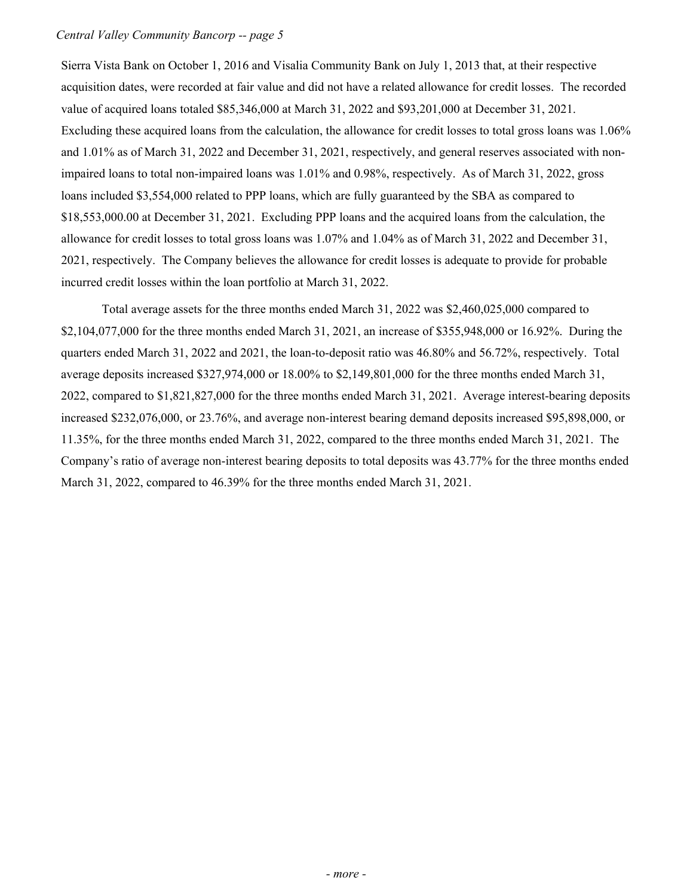Sierra Vista Bank on October 1, 2016 and Visalia Community Bank on July 1, 2013 that, at their respective acquisition dates, were recorded at fair value and did not have a related allowance for credit losses. The recorded value of acquired loans totaled \$85,346,000 at March 31, 2022 and \$93,201,000 at December 31, 2021. Excluding these acquired loans from the calculation, the allowance for credit losses to total gross loans was 1.06% and 1.01% as of March 31, 2022 and December 31, 2021, respectively, and general reserves associated with non- impaired loans to total non-impaired loans was 1.01% and 0.98%, respectively. As of March 31, 2022, gross loans included \$3,554,000 related to PPP loans, which are fully guaranteed by the SBA as compared to \$[18,553,000.00](https://18,553,000.00) at December 31, 2021. Excluding PPP loans and the acquired loans from the calculation, the allowance for credit losses to total gross loans was 1.07% and 1.04% as of March 31, 2022 and December 31, 2021, respectively. The Company believes the allowance for credit losses is adequate to provide for probable incurred credit losses within the loan portfolio at March 31, 2022.

 Total average assets for the three months ended March 31, 2022 was \$2,460,025,000 compared to \$2,104,077,000 for the three months ended March 31, 2021, an increase of \$355,948,000 or 16.92%. During the quarters ended March 31, 2022 and 2021, the loan-to-deposit ratio was 46.80% and 56.72%, respectively. Total average deposits increased \$327,974,000 or 18.00% to \$2,149,801,000 for the three months ended March 31, 2022, compared to \$1,821,827,000 for the three months ended March 31, 2021. Average interest-bearing deposits increased \$232,076,000, or 23.76%, and average non-interest bearing demand deposits increased \$95,898,000, or 11.35%, for the three months ended March 31, 2022, compared to the three months ended March 31, 2021. The Company's ratio of average non-interest bearing deposits to total deposits was 43.77% for the three months ended March 31, 2022, compared to 46.39% for the three months ended March 31, 2021.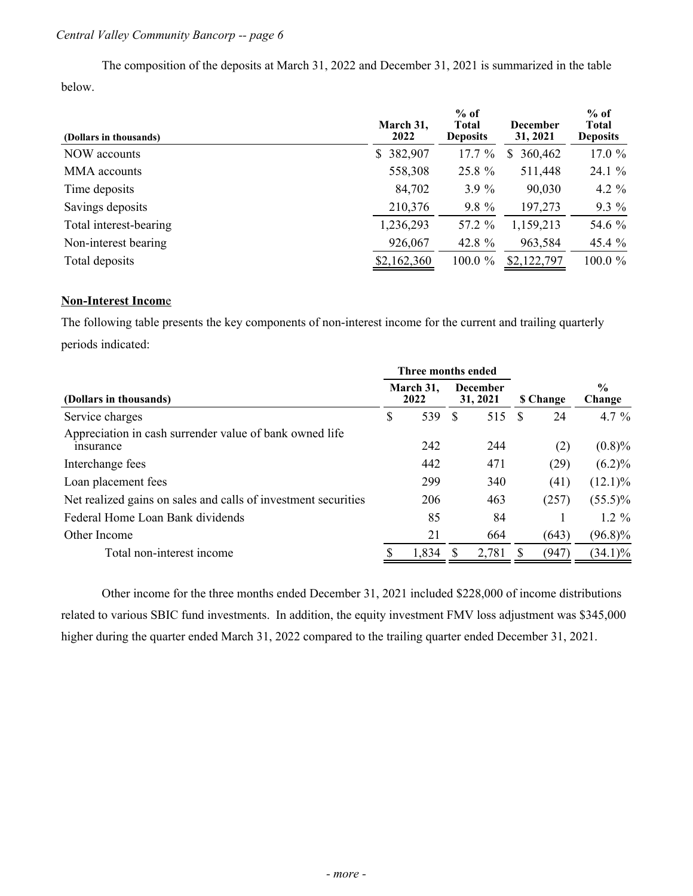The composition of the deposits at March 31, 2022 and December 31, 2021 is summarized in the table below.

| (Dollars in thousands) | March 31,<br>2022 | $%$ of<br><b>Total</b><br><b>Deposits</b> | <b>December</b><br>31, 2021 | $%$ of<br><b>Total</b><br><b>Deposits</b> |
|------------------------|-------------------|-------------------------------------------|-----------------------------|-------------------------------------------|
| NOW accounts           | \$382,907         | 17.7%                                     | 360,462<br>\$               | 17.0 %                                    |
| MMA accounts           | 558,308           | 25.8 %                                    | 511,448                     | 24.1%                                     |
| Time deposits          | 84,702            | 3.9%                                      | 90,030                      | 4.2 $%$                                   |
| Savings deposits       | 210,376           | 9.8 %                                     | 197,273                     | $9.3\%$                                   |
| Total interest-bearing | 1,236,293         | 57.2 %                                    | 1,159,213                   | 54.6 %                                    |
| Non-interest bearing   | 926,067           | 42.8 %                                    | 963,584                     | $45.4\%$                                  |
| Total deposits         | \$2,162,360       | $100.0 \%$                                | \$2,122,797                 | 100.0%                                    |

## **Non-Interest Incom**e

 The following table presents the key components of non-interest income for the current and trailing quarterly periods indicated:

|                                                                      |                   | Three months ended |                             |                 |   |                         |            |
|----------------------------------------------------------------------|-------------------|--------------------|-----------------------------|-----------------|---|-------------------------|------------|
| (Dollars in thousands)                                               | March 31,<br>2022 |                    | <b>December</b><br>31, 2021 | <b>S</b> Change |   | $\frac{0}{0}$<br>Change |            |
| Service charges                                                      | \$                | 539                | S                           | 515             | S | 24                      | 4.7 $%$    |
| Appreciation in cash surrender value of bank owned life<br>insurance |                   | 242                |                             | 244             |   | (2)                     | $(0.8)\%$  |
| Interchange fees                                                     |                   | 442                |                             | 471             |   | (29)                    | $(6.2)\%$  |
| Loan placement fees                                                  |                   | 299                |                             | 340             |   | (41)                    | $(12.1)\%$ |
| Net realized gains on sales and calls of investment securities       |                   | 206                |                             | 463             |   | (257)                   | $(55.5)\%$ |
| Federal Home Loan Bank dividends                                     |                   | 85                 |                             | 84              |   |                         | $1.2 \%$   |
| Other Income                                                         |                   | 21                 |                             | 664             |   | (643)                   | $(96.8)\%$ |
| Total non-interest income                                            |                   | 1,834              |                             | 2,781           |   | (947)                   | $(34.1)\%$ |

 Other income for the three months ended December 31, 2021 included \$228,000 of income distributions related to various SBIC fund investments. In addition, the equity investment FMV loss adjustment was \$345,000 higher during the quarter ended March 31, 2022 compared to the trailing quarter ended December 31, 2021.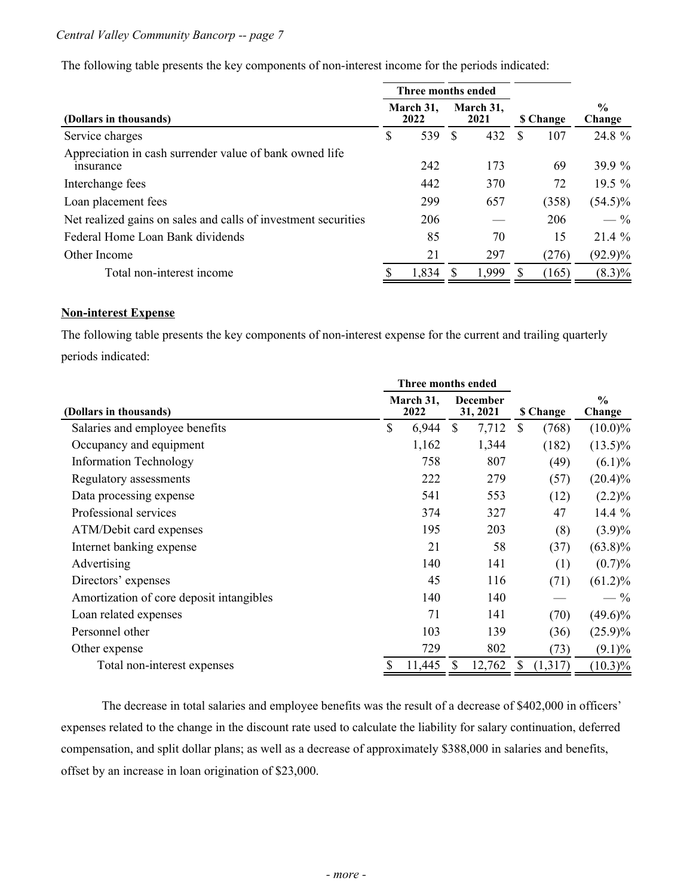The following table presents the key components of non-interest income for the periods indicated:

|                                                                      |                                        | Three months ended |   |       |   |                  |                         |  |
|----------------------------------------------------------------------|----------------------------------------|--------------------|---|-------|---|------------------|-------------------------|--|
| (Dollars in thousands)                                               | March 31,<br>March 31,<br>2022<br>2021 |                    |   |       |   | <b>\$ Change</b> | $\frac{0}{0}$<br>Change |  |
| Service charges                                                      | \$                                     | 539                | S | 432   | S | 107              | 24.8 %                  |  |
| Appreciation in cash surrender value of bank owned life<br>insurance |                                        | 242                |   | 173   |   | 69               | 39.9 %                  |  |
| Interchange fees                                                     |                                        | 442                |   | 370   |   | 72               | $19.5\%$                |  |
| Loan placement fees                                                  |                                        | 299                |   | 657   |   | (358)            | $(54.5)\%$              |  |
| Net realized gains on sales and calls of investment securities       |                                        | 206                |   |       |   | 206              | $-$ %                   |  |
| Federal Home Loan Bank dividends                                     |                                        | 85                 |   | 70    |   | 15               | $21.4\%$                |  |
| Other Income                                                         |                                        | 21                 |   | 297   |   | (276)            | $(92.9)\%$              |  |
| Total non-interest income                                            |                                        | 1,834              |   | 1,999 |   | (165)            | $(8.3)\%$               |  |

#### **Non-interest Expense**

 The following table presents the key components of non-interest expense for the current and trailing quarterly periods indicated:

|                                          | Three months ended |                             |        |                  |         |                         |  |
|------------------------------------------|--------------------|-----------------------------|--------|------------------|---------|-------------------------|--|
| (Dollars in thousands)                   | March 31,<br>2022  | <b>December</b><br>31, 2021 |        | <b>\$ Change</b> |         | $\frac{0}{0}$<br>Change |  |
| Salaries and employee benefits           | \$<br>6,944        | \$                          | 7,712  | \$               | (768)   | $(10.0)\%$              |  |
| Occupancy and equipment                  | 1,162              |                             | 1,344  |                  | (182)   | $(13.5)\%$              |  |
| <b>Information Technology</b>            | 758                |                             | 807    |                  | (49)    | $(6.1)\%$               |  |
| Regulatory assessments                   | 222                |                             | 279    |                  | (57)    | $(20.4)\%$              |  |
| Data processing expense                  | 541                |                             | 553    |                  | (12)    | $(2.2)\%$               |  |
| Professional services                    | 374                |                             | 327    |                  | 47      | 14.4 %                  |  |
| ATM/Debit card expenses                  | 195                |                             | 203    |                  | (8)     | $(3.9)\%$               |  |
| Internet banking expense                 | 21                 |                             | 58     |                  | (37)    | $(63.8)\%$              |  |
| Advertising                              | 140                |                             | 141    |                  | (1)     | $(0.7)\%$               |  |
| Directors' expenses                      | 45                 |                             | 116    |                  | (71)    | $(61.2)\%$              |  |
| Amortization of core deposit intangibles | 140                |                             | 140    |                  |         | $-$ %                   |  |
| Loan related expenses                    | 71                 |                             | 141    |                  | (70)    | $(49.6)\%$              |  |
| Personnel other                          | 103                |                             | 139    |                  | (36)    | $(25.9)\%$              |  |
| Other expense                            | 729                |                             | 802    |                  | (73)    | $(9.1)\%$               |  |
| Total non-interest expenses              | \$<br>11,445       |                             | 12,762 | \$               | (1,317) | $(10.3)\%$              |  |

 The decrease in total salaries and employee benefits was the result of a decrease of \$402,000 in officers' expenses related to the change in the discount rate used to calculate the liability for salary continuation, deferred compensation, and split dollar plans; as well as a decrease of approximately \$388,000 in salaries and benefits, offset by an increase in loan origination of \$23,000.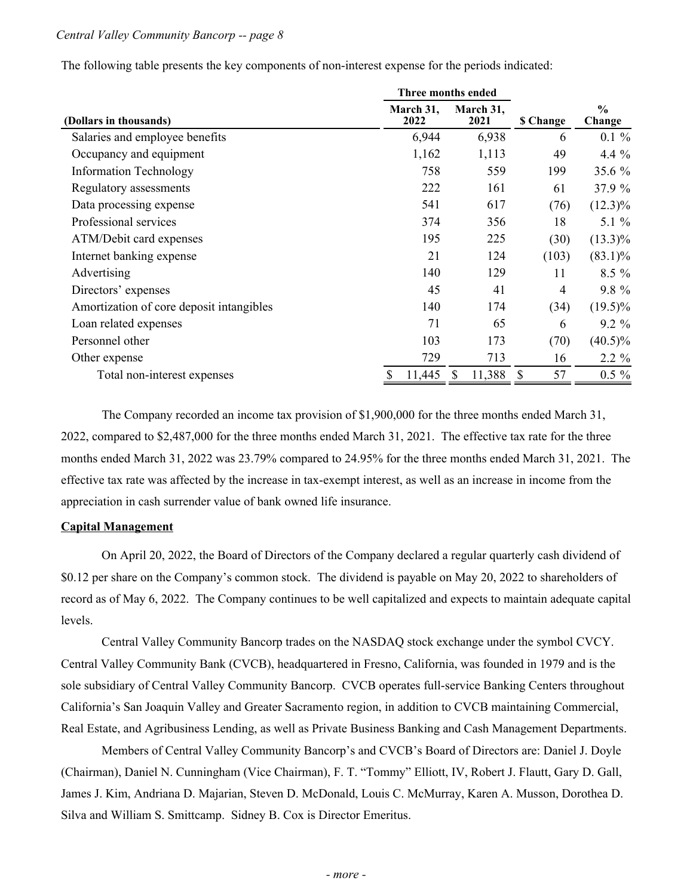|                                          | <b>Three months ended</b> |   |                   |                     |                         |
|------------------------------------------|---------------------------|---|-------------------|---------------------|-------------------------|
| (Dollars in thousands)                   | March 31,<br>2022         |   | March 31,<br>2021 | <b>\$ Change</b>    | $\frac{0}{0}$<br>Change |
| Salaries and employee benefits           | 6,944                     |   | 6,938             | 6                   | $0.1 \%$                |
| Occupancy and equipment                  | 1,162                     |   | 1,113             | 49                  | $4.4\%$                 |
| <b>Information Technology</b>            | 758                       |   | 559               | 199                 | 35.6 $%$                |
| Regulatory assessments                   | 222                       |   | 161               | 61                  | 37.9 %                  |
| Data processing expense                  | 541                       |   | 617               | (76)                | $(12.3)\%$              |
| Professional services                    | 374                       |   | 356               | 18                  | 5.1 $%$                 |
| ATM/Debit card expenses                  | 195                       |   | 225               | (30)                | $(13.3)\%$              |
| Internet banking expense                 | 21                        |   | 124               | (103)               | $(83.1)\%$              |
| Advertising                              | 140                       |   | 129               | 11                  | $8.5\%$                 |
| Directors' expenses                      | 45                        |   | 41                | 4                   | 9.8 %                   |
| Amortization of core deposit intangibles | 140                       |   | 174               | (34)                | $(19.5)\%$              |
| Loan related expenses                    | 71                        |   | 65                | 6                   | $9.2\%$                 |
| Personnel other                          | 103                       |   | 173               | (70)                | $(40.5)\%$              |
| Other expense                            | 729                       |   | 713               | 16                  | $2.2 \%$                |
| Total non-interest expenses              | 11,445                    | S | 11,388            | 57<br><sup>\$</sup> | $0.5 \%$                |
|                                          |                           |   |                   |                     |                         |

The following table presents the key components of non-interest expense for the periods indicated:

 The Company recorded an income tax provision of \$1,900,000 for the three months ended March 31, 2022, compared to \$2,487,000 for the three months ended March 31, 2021. The effective tax rate for the three months ended March 31, 2022 was 23.79% compared to 24.95% for the three months ended March 31, 2021. The effective tax rate was affected by the increase in tax-exempt interest, as well as an increase in income from the appreciation in cash surrender value of bank owned life insurance.

#### **Capital Management**

 On April 20, 2022, the Board of Directors of the Company declared a regular quarterly cash dividend of \$0.12 per share on the Company's common stock. The dividend is payable on May 20, 2022 to shareholders of record as of May 6, 2022. The Company continues to be well capitalized and expects to maintain adequate capital levels.

 Central Valley Community Bancorp trades on the NASDAQ stock exchange under the symbol CVCY. Central Valley Community Bank (CVCB), headquartered in Fresno, California, was founded in 1979 and is the sole subsidiary of Central Valley Community Bancorp. CVCB operates full-service Banking Centers throughout California's San Joaquin Valley and Greater Sacramento region, in addition to CVCB maintaining Commercial, Real Estate, and Agribusiness Lending, as well as Private Business Banking and Cash Management Departments.

 Members of Central Valley Community Bancorp's and CVCB's Board of Directors are: Daniel J. Doyle (Chairman), Daniel N. Cunningham (Vice Chairman), F. T. "Tommy" Elliott, IV, Robert J. Flautt, Gary D. Gall, James J. Kim, Andriana D. Majarian, Steven D. McDonald, Louis C. McMurray, Karen A. Musson, Dorothea D. Silva and William S. Smittcamp. Sidney B. Cox is Director Emeritus.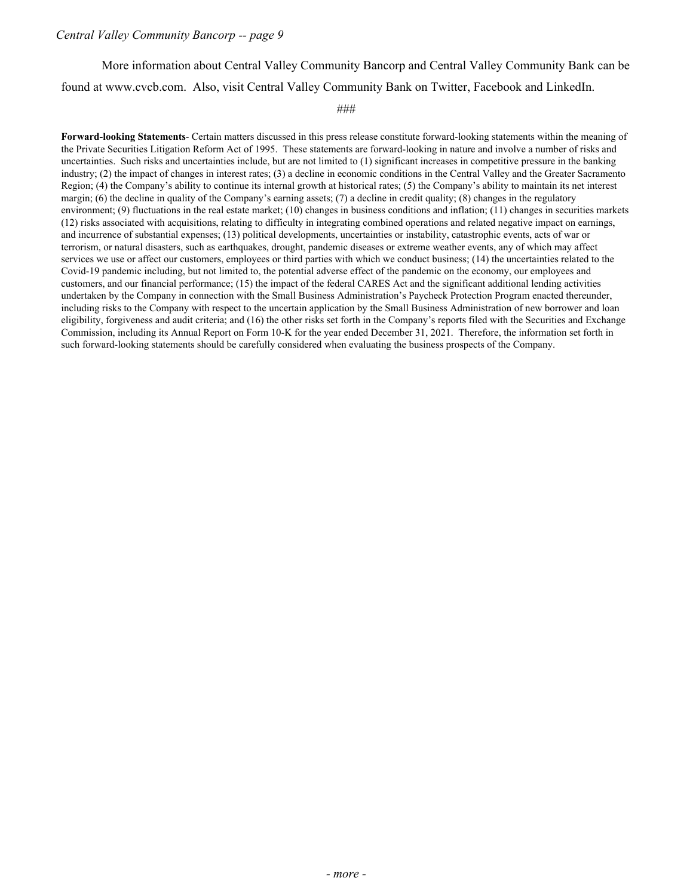More information about Central Valley Community Bancorp and Central Valley Community Bank can be found at <www.cvcb.com>. Also, visit Central Valley Community Bank on Twitter, Facebook and LinkedIn.

###

 **Forward-looking Statements**- Certain matters discussed in this press release constitute forward-looking statements within the meaning of the Private Securities Litigation Reform Act of 1995. These statements are forward-looking in nature and involve a number of risks and uncertainties. Such risks and uncertainties include, but are not limited to (1) significant increases in competitive pressure in the banking industry; (2) the impact of changes in interest rates; (3) a decline in economic conditions in the Central Valley and the Greater Sacramento Region; (4) the Company's ability to continue its internal growth at historical rates; (5) the Company's ability to maintain its net interest margin; (6) the decline in quality of the Company's earning assets; (7) a decline in credit quality; (8) changes in the regulatory environment; (9) fluctuations in the real estate market; (10) changes in business conditions and inflation; (11) changes in securities markets (12) risks associated with acquisitions, relating to difficulty in integrating combined operations and related negative impact on earnings, and incurrence of substantial expenses; (13) political developments, uncertainties or instability, catastrophic events, acts of war or terrorism, or natural disasters, such as earthquakes, drought, pandemic diseases or extreme weather events, any of which may affect services we use or affect our customers, employees or third parties with which we conduct business; (14) the uncertainties related to the Covid-19 pandemic including, but not limited to, the potential adverse effect of the pandemic on the economy, our employees and customers, and our financial performance; (15) the impact of the federal CARES Act and the significant additional lending activities undertaken by the Company in connection with the Small Business Administration's Paycheck Protection Program enacted thereunder, including risks to the Company with respect to the uncertain application by the Small Business Administration of new borrower and loan eligibility, forgiveness and audit criteria; and (16) the other risks set forth in the Company's reports filed with the Securities and Exchange Commission, including its Annual Report on Form 10-K for the year ended December 31, 2021. Therefore, the information set forth in such forward-looking statements should be carefully considered when evaluating the business prospects of the Company.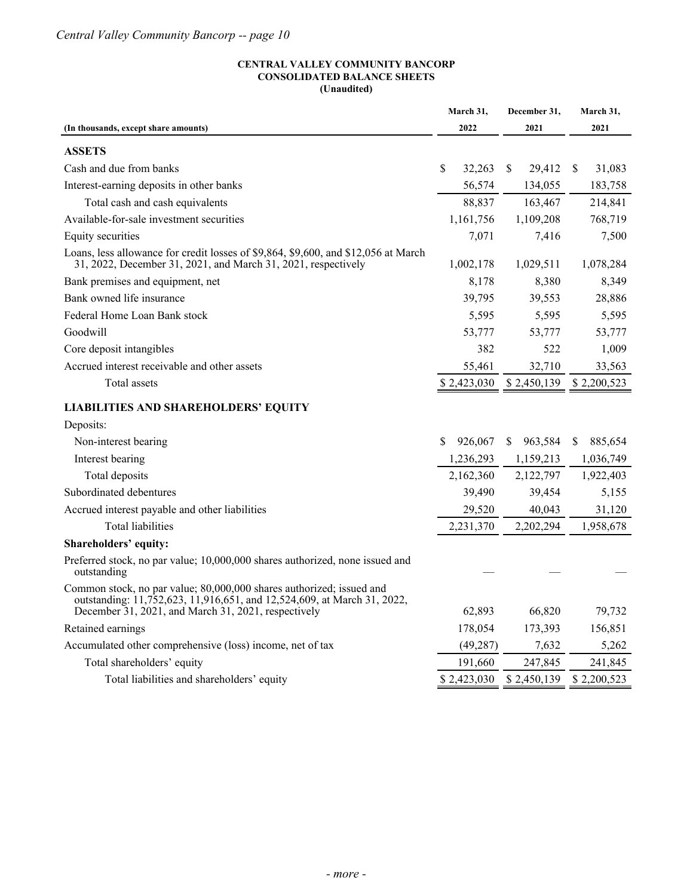#### **CENTRAL VALLEY COMMUNITY BANCORP CONSOLIDATED BALANCE SHEETS (Unaudited)**

| 2022<br>2021<br>2021<br>(In thousands, except share amounts)<br><b>ASSETS</b><br>Cash and due from banks<br>\$<br>32,263<br>S.<br>29,412<br>\$<br>31,083<br>Interest-earning deposits in other banks<br>56,574<br>183,758<br>134,055<br>Total cash and cash equivalents<br>88,837<br>163,467<br>214,841<br>Available-for-sale investment securities<br>1,161,756<br>1,109,208<br>768,719<br>7,416<br>Equity securities<br>7,071<br>7,500<br>Loans, less allowance for credit losses of \$9,864, \$9,600, and \$12,056 at March<br>31, 2022, December 31, 2021, and March 31, 2021, respectively<br>1,029,511<br>1,078,284<br>1,002,178<br>Bank premises and equipment, net<br>8,380<br>8,349<br>8,178<br>Bank owned life insurance<br>39,795<br>39,553<br>28,886<br>Federal Home Loan Bank stock<br>5,595<br>5,595<br>5,595<br>Goodwill<br>53,777<br>53,777<br>53,777<br>522<br>Core deposit intangibles<br>382<br>1,009<br>Accrued interest receivable and other assets<br>55,461<br>32,710<br>33,563<br>Total assets<br>\$2,423,030<br>\$2,450,139<br>\$2,200,523<br><b>LIABILITIES AND SHAREHOLDERS' EQUITY</b><br>Deposits:<br>Non-interest bearing<br>\$<br>926,067<br>963,584<br>885,654<br><sup>S</sup><br>S.<br>Interest bearing<br>1,236,293<br>1,159,213<br>1,036,749<br>Total deposits<br>2,122,797<br>2,162,360<br>1,922,403<br>Subordinated debentures<br>39,490<br>39,454<br>5,155<br>Accrued interest payable and other liabilities<br>29,520<br>40,043<br>31,120<br><b>Total liabilities</b><br>2,231,370<br>2,202,294<br>1,958,678<br>Shareholders' equity:<br>Preferred stock, no par value; 10,000,000 shares authorized, none issued and<br>outstanding<br>Common stock, no par value; 80,000,000 shares authorized; issued and<br>outstanding: 11,752,623, 11,916,651, and 12,524,609, at March 31, 2022,<br>December 31, 2021, and March 31, 2021, respectively<br>66,820<br>62,893<br>79,732<br>Retained earnings<br>178,054<br>173,393<br>156,851<br>Accumulated other comprehensive (loss) income, net of tax<br>(49, 287)<br>7,632<br>5,262<br>Total shareholders' equity<br>191,660<br>241,845<br>247,845<br>Total liabilities and shareholders' equity<br>\$2,423,030<br>\$2,450,139<br>\$2,200,523 | March 31, | December 31, | March 31, |
|---------------------------------------------------------------------------------------------------------------------------------------------------------------------------------------------------------------------------------------------------------------------------------------------------------------------------------------------------------------------------------------------------------------------------------------------------------------------------------------------------------------------------------------------------------------------------------------------------------------------------------------------------------------------------------------------------------------------------------------------------------------------------------------------------------------------------------------------------------------------------------------------------------------------------------------------------------------------------------------------------------------------------------------------------------------------------------------------------------------------------------------------------------------------------------------------------------------------------------------------------------------------------------------------------------------------------------------------------------------------------------------------------------------------------------------------------------------------------------------------------------------------------------------------------------------------------------------------------------------------------------------------------------------------------------------------------------------------------------------------------------------------------------------------------------------------------------------------------------------------------------------------------------------------------------------------------------------------------------------------------------------------------------------------------------------------------------------------------------------------------------------------------------------------------------------------------------------------------------|-----------|--------------|-----------|
|                                                                                                                                                                                                                                                                                                                                                                                                                                                                                                                                                                                                                                                                                                                                                                                                                                                                                                                                                                                                                                                                                                                                                                                                                                                                                                                                                                                                                                                                                                                                                                                                                                                                                                                                                                                                                                                                                                                                                                                                                                                                                                                                                                                                                                 |           |              |           |
|                                                                                                                                                                                                                                                                                                                                                                                                                                                                                                                                                                                                                                                                                                                                                                                                                                                                                                                                                                                                                                                                                                                                                                                                                                                                                                                                                                                                                                                                                                                                                                                                                                                                                                                                                                                                                                                                                                                                                                                                                                                                                                                                                                                                                                 |           |              |           |
|                                                                                                                                                                                                                                                                                                                                                                                                                                                                                                                                                                                                                                                                                                                                                                                                                                                                                                                                                                                                                                                                                                                                                                                                                                                                                                                                                                                                                                                                                                                                                                                                                                                                                                                                                                                                                                                                                                                                                                                                                                                                                                                                                                                                                                 |           |              |           |
|                                                                                                                                                                                                                                                                                                                                                                                                                                                                                                                                                                                                                                                                                                                                                                                                                                                                                                                                                                                                                                                                                                                                                                                                                                                                                                                                                                                                                                                                                                                                                                                                                                                                                                                                                                                                                                                                                                                                                                                                                                                                                                                                                                                                                                 |           |              |           |
|                                                                                                                                                                                                                                                                                                                                                                                                                                                                                                                                                                                                                                                                                                                                                                                                                                                                                                                                                                                                                                                                                                                                                                                                                                                                                                                                                                                                                                                                                                                                                                                                                                                                                                                                                                                                                                                                                                                                                                                                                                                                                                                                                                                                                                 |           |              |           |
|                                                                                                                                                                                                                                                                                                                                                                                                                                                                                                                                                                                                                                                                                                                                                                                                                                                                                                                                                                                                                                                                                                                                                                                                                                                                                                                                                                                                                                                                                                                                                                                                                                                                                                                                                                                                                                                                                                                                                                                                                                                                                                                                                                                                                                 |           |              |           |
|                                                                                                                                                                                                                                                                                                                                                                                                                                                                                                                                                                                                                                                                                                                                                                                                                                                                                                                                                                                                                                                                                                                                                                                                                                                                                                                                                                                                                                                                                                                                                                                                                                                                                                                                                                                                                                                                                                                                                                                                                                                                                                                                                                                                                                 |           |              |           |
|                                                                                                                                                                                                                                                                                                                                                                                                                                                                                                                                                                                                                                                                                                                                                                                                                                                                                                                                                                                                                                                                                                                                                                                                                                                                                                                                                                                                                                                                                                                                                                                                                                                                                                                                                                                                                                                                                                                                                                                                                                                                                                                                                                                                                                 |           |              |           |
|                                                                                                                                                                                                                                                                                                                                                                                                                                                                                                                                                                                                                                                                                                                                                                                                                                                                                                                                                                                                                                                                                                                                                                                                                                                                                                                                                                                                                                                                                                                                                                                                                                                                                                                                                                                                                                                                                                                                                                                                                                                                                                                                                                                                                                 |           |              |           |
|                                                                                                                                                                                                                                                                                                                                                                                                                                                                                                                                                                                                                                                                                                                                                                                                                                                                                                                                                                                                                                                                                                                                                                                                                                                                                                                                                                                                                                                                                                                                                                                                                                                                                                                                                                                                                                                                                                                                                                                                                                                                                                                                                                                                                                 |           |              |           |
|                                                                                                                                                                                                                                                                                                                                                                                                                                                                                                                                                                                                                                                                                                                                                                                                                                                                                                                                                                                                                                                                                                                                                                                                                                                                                                                                                                                                                                                                                                                                                                                                                                                                                                                                                                                                                                                                                                                                                                                                                                                                                                                                                                                                                                 |           |              |           |
|                                                                                                                                                                                                                                                                                                                                                                                                                                                                                                                                                                                                                                                                                                                                                                                                                                                                                                                                                                                                                                                                                                                                                                                                                                                                                                                                                                                                                                                                                                                                                                                                                                                                                                                                                                                                                                                                                                                                                                                                                                                                                                                                                                                                                                 |           |              |           |
|                                                                                                                                                                                                                                                                                                                                                                                                                                                                                                                                                                                                                                                                                                                                                                                                                                                                                                                                                                                                                                                                                                                                                                                                                                                                                                                                                                                                                                                                                                                                                                                                                                                                                                                                                                                                                                                                                                                                                                                                                                                                                                                                                                                                                                 |           |              |           |
|                                                                                                                                                                                                                                                                                                                                                                                                                                                                                                                                                                                                                                                                                                                                                                                                                                                                                                                                                                                                                                                                                                                                                                                                                                                                                                                                                                                                                                                                                                                                                                                                                                                                                                                                                                                                                                                                                                                                                                                                                                                                                                                                                                                                                                 |           |              |           |
|                                                                                                                                                                                                                                                                                                                                                                                                                                                                                                                                                                                                                                                                                                                                                                                                                                                                                                                                                                                                                                                                                                                                                                                                                                                                                                                                                                                                                                                                                                                                                                                                                                                                                                                                                                                                                                                                                                                                                                                                                                                                                                                                                                                                                                 |           |              |           |
|                                                                                                                                                                                                                                                                                                                                                                                                                                                                                                                                                                                                                                                                                                                                                                                                                                                                                                                                                                                                                                                                                                                                                                                                                                                                                                                                                                                                                                                                                                                                                                                                                                                                                                                                                                                                                                                                                                                                                                                                                                                                                                                                                                                                                                 |           |              |           |
|                                                                                                                                                                                                                                                                                                                                                                                                                                                                                                                                                                                                                                                                                                                                                                                                                                                                                                                                                                                                                                                                                                                                                                                                                                                                                                                                                                                                                                                                                                                                                                                                                                                                                                                                                                                                                                                                                                                                                                                                                                                                                                                                                                                                                                 |           |              |           |
|                                                                                                                                                                                                                                                                                                                                                                                                                                                                                                                                                                                                                                                                                                                                                                                                                                                                                                                                                                                                                                                                                                                                                                                                                                                                                                                                                                                                                                                                                                                                                                                                                                                                                                                                                                                                                                                                                                                                                                                                                                                                                                                                                                                                                                 |           |              |           |
|                                                                                                                                                                                                                                                                                                                                                                                                                                                                                                                                                                                                                                                                                                                                                                                                                                                                                                                                                                                                                                                                                                                                                                                                                                                                                                                                                                                                                                                                                                                                                                                                                                                                                                                                                                                                                                                                                                                                                                                                                                                                                                                                                                                                                                 |           |              |           |
|                                                                                                                                                                                                                                                                                                                                                                                                                                                                                                                                                                                                                                                                                                                                                                                                                                                                                                                                                                                                                                                                                                                                                                                                                                                                                                                                                                                                                                                                                                                                                                                                                                                                                                                                                                                                                                                                                                                                                                                                                                                                                                                                                                                                                                 |           |              |           |
|                                                                                                                                                                                                                                                                                                                                                                                                                                                                                                                                                                                                                                                                                                                                                                                                                                                                                                                                                                                                                                                                                                                                                                                                                                                                                                                                                                                                                                                                                                                                                                                                                                                                                                                                                                                                                                                                                                                                                                                                                                                                                                                                                                                                                                 |           |              |           |
|                                                                                                                                                                                                                                                                                                                                                                                                                                                                                                                                                                                                                                                                                                                                                                                                                                                                                                                                                                                                                                                                                                                                                                                                                                                                                                                                                                                                                                                                                                                                                                                                                                                                                                                                                                                                                                                                                                                                                                                                                                                                                                                                                                                                                                 |           |              |           |
|                                                                                                                                                                                                                                                                                                                                                                                                                                                                                                                                                                                                                                                                                                                                                                                                                                                                                                                                                                                                                                                                                                                                                                                                                                                                                                                                                                                                                                                                                                                                                                                                                                                                                                                                                                                                                                                                                                                                                                                                                                                                                                                                                                                                                                 |           |              |           |
|                                                                                                                                                                                                                                                                                                                                                                                                                                                                                                                                                                                                                                                                                                                                                                                                                                                                                                                                                                                                                                                                                                                                                                                                                                                                                                                                                                                                                                                                                                                                                                                                                                                                                                                                                                                                                                                                                                                                                                                                                                                                                                                                                                                                                                 |           |              |           |
|                                                                                                                                                                                                                                                                                                                                                                                                                                                                                                                                                                                                                                                                                                                                                                                                                                                                                                                                                                                                                                                                                                                                                                                                                                                                                                                                                                                                                                                                                                                                                                                                                                                                                                                                                                                                                                                                                                                                                                                                                                                                                                                                                                                                                                 |           |              |           |
|                                                                                                                                                                                                                                                                                                                                                                                                                                                                                                                                                                                                                                                                                                                                                                                                                                                                                                                                                                                                                                                                                                                                                                                                                                                                                                                                                                                                                                                                                                                                                                                                                                                                                                                                                                                                                                                                                                                                                                                                                                                                                                                                                                                                                                 |           |              |           |
|                                                                                                                                                                                                                                                                                                                                                                                                                                                                                                                                                                                                                                                                                                                                                                                                                                                                                                                                                                                                                                                                                                                                                                                                                                                                                                                                                                                                                                                                                                                                                                                                                                                                                                                                                                                                                                                                                                                                                                                                                                                                                                                                                                                                                                 |           |              |           |
|                                                                                                                                                                                                                                                                                                                                                                                                                                                                                                                                                                                                                                                                                                                                                                                                                                                                                                                                                                                                                                                                                                                                                                                                                                                                                                                                                                                                                                                                                                                                                                                                                                                                                                                                                                                                                                                                                                                                                                                                                                                                                                                                                                                                                                 |           |              |           |
|                                                                                                                                                                                                                                                                                                                                                                                                                                                                                                                                                                                                                                                                                                                                                                                                                                                                                                                                                                                                                                                                                                                                                                                                                                                                                                                                                                                                                                                                                                                                                                                                                                                                                                                                                                                                                                                                                                                                                                                                                                                                                                                                                                                                                                 |           |              |           |
|                                                                                                                                                                                                                                                                                                                                                                                                                                                                                                                                                                                                                                                                                                                                                                                                                                                                                                                                                                                                                                                                                                                                                                                                                                                                                                                                                                                                                                                                                                                                                                                                                                                                                                                                                                                                                                                                                                                                                                                                                                                                                                                                                                                                                                 |           |              |           |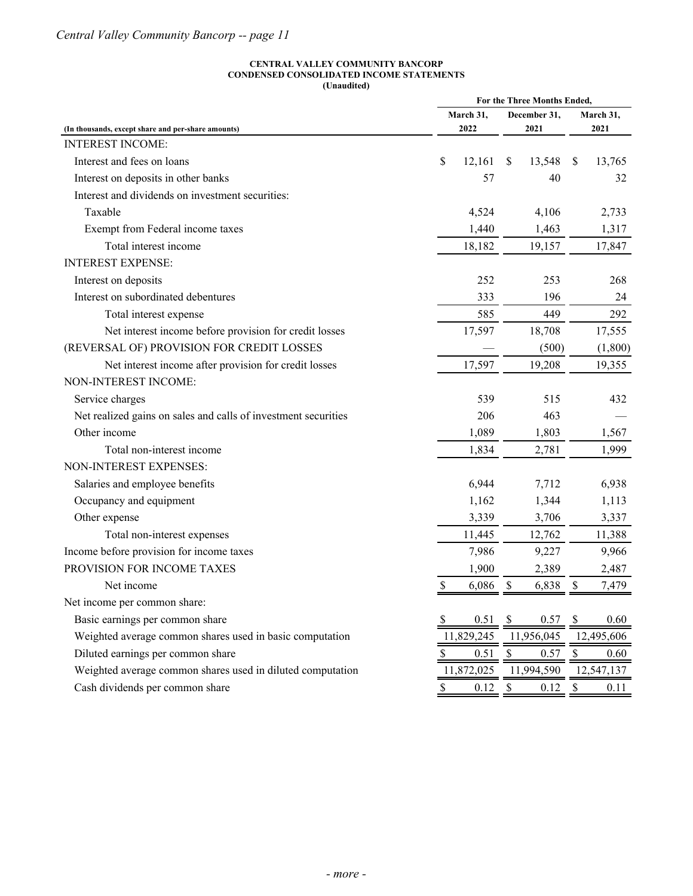#### **CENTRAL VALLEY COMMUNITY BANCORP CONDENSED CONSOLIDATED INCOME STATEMENTS (Unaudited)**

| March 31,<br>December 31,<br>March 31,<br>2022<br>2021<br>2021<br>(In thousands, except share and per-share amounts)<br><b>INTEREST INCOME:</b><br>\$<br>Interest and fees on loans<br>12,161<br>\$<br>13,548<br><sup>\$</sup><br>13,765<br>Interest on deposits in other banks<br>57<br>40<br>32<br>Interest and dividends on investment securities:<br>Taxable<br>4,524<br>4,106<br>2,733<br>Exempt from Federal income taxes<br>1,440<br>1,463<br>1,317<br>Total interest income<br>18,182<br>19,157<br>17,847<br><b>INTEREST EXPENSE:</b><br>Interest on deposits<br>252<br>253<br>268<br>Interest on subordinated debentures<br>333<br>196<br>24<br>585<br>449<br>292<br>Total interest expense<br>Net interest income before provision for credit losses<br>17,597<br>18,708<br>17,555<br>(REVERSAL OF) PROVISION FOR CREDIT LOSSES<br>(500)<br>(1,800)<br>17,597<br>Net interest income after provision for credit losses<br>19,208<br>19,355<br>NON-INTEREST INCOME:<br>Service charges<br>539<br>515<br>432<br>Net realized gains on sales and calls of investment securities<br>206<br>463 |              | For the Three Months Ended, |       |  |       |  |       |  |
|------------------------------------------------------------------------------------------------------------------------------------------------------------------------------------------------------------------------------------------------------------------------------------------------------------------------------------------------------------------------------------------------------------------------------------------------------------------------------------------------------------------------------------------------------------------------------------------------------------------------------------------------------------------------------------------------------------------------------------------------------------------------------------------------------------------------------------------------------------------------------------------------------------------------------------------------------------------------------------------------------------------------------------------------------------------------------------------------------|--------------|-----------------------------|-------|--|-------|--|-------|--|
|                                                                                                                                                                                                                                                                                                                                                                                                                                                                                                                                                                                                                                                                                                                                                                                                                                                                                                                                                                                                                                                                                                      |              |                             |       |  |       |  |       |  |
|                                                                                                                                                                                                                                                                                                                                                                                                                                                                                                                                                                                                                                                                                                                                                                                                                                                                                                                                                                                                                                                                                                      |              |                             |       |  |       |  |       |  |
|                                                                                                                                                                                                                                                                                                                                                                                                                                                                                                                                                                                                                                                                                                                                                                                                                                                                                                                                                                                                                                                                                                      |              |                             |       |  |       |  |       |  |
|                                                                                                                                                                                                                                                                                                                                                                                                                                                                                                                                                                                                                                                                                                                                                                                                                                                                                                                                                                                                                                                                                                      |              |                             |       |  |       |  |       |  |
|                                                                                                                                                                                                                                                                                                                                                                                                                                                                                                                                                                                                                                                                                                                                                                                                                                                                                                                                                                                                                                                                                                      |              |                             |       |  |       |  |       |  |
|                                                                                                                                                                                                                                                                                                                                                                                                                                                                                                                                                                                                                                                                                                                                                                                                                                                                                                                                                                                                                                                                                                      |              |                             |       |  |       |  |       |  |
|                                                                                                                                                                                                                                                                                                                                                                                                                                                                                                                                                                                                                                                                                                                                                                                                                                                                                                                                                                                                                                                                                                      |              |                             |       |  |       |  |       |  |
|                                                                                                                                                                                                                                                                                                                                                                                                                                                                                                                                                                                                                                                                                                                                                                                                                                                                                                                                                                                                                                                                                                      |              |                             |       |  |       |  |       |  |
|                                                                                                                                                                                                                                                                                                                                                                                                                                                                                                                                                                                                                                                                                                                                                                                                                                                                                                                                                                                                                                                                                                      |              |                             |       |  |       |  |       |  |
|                                                                                                                                                                                                                                                                                                                                                                                                                                                                                                                                                                                                                                                                                                                                                                                                                                                                                                                                                                                                                                                                                                      |              |                             |       |  |       |  |       |  |
|                                                                                                                                                                                                                                                                                                                                                                                                                                                                                                                                                                                                                                                                                                                                                                                                                                                                                                                                                                                                                                                                                                      |              |                             |       |  |       |  |       |  |
|                                                                                                                                                                                                                                                                                                                                                                                                                                                                                                                                                                                                                                                                                                                                                                                                                                                                                                                                                                                                                                                                                                      |              |                             |       |  |       |  |       |  |
|                                                                                                                                                                                                                                                                                                                                                                                                                                                                                                                                                                                                                                                                                                                                                                                                                                                                                                                                                                                                                                                                                                      |              |                             |       |  |       |  |       |  |
|                                                                                                                                                                                                                                                                                                                                                                                                                                                                                                                                                                                                                                                                                                                                                                                                                                                                                                                                                                                                                                                                                                      |              |                             |       |  |       |  |       |  |
|                                                                                                                                                                                                                                                                                                                                                                                                                                                                                                                                                                                                                                                                                                                                                                                                                                                                                                                                                                                                                                                                                                      |              |                             |       |  |       |  |       |  |
|                                                                                                                                                                                                                                                                                                                                                                                                                                                                                                                                                                                                                                                                                                                                                                                                                                                                                                                                                                                                                                                                                                      |              |                             |       |  |       |  |       |  |
|                                                                                                                                                                                                                                                                                                                                                                                                                                                                                                                                                                                                                                                                                                                                                                                                                                                                                                                                                                                                                                                                                                      |              |                             |       |  |       |  |       |  |
|                                                                                                                                                                                                                                                                                                                                                                                                                                                                                                                                                                                                                                                                                                                                                                                                                                                                                                                                                                                                                                                                                                      |              |                             |       |  |       |  |       |  |
|                                                                                                                                                                                                                                                                                                                                                                                                                                                                                                                                                                                                                                                                                                                                                                                                                                                                                                                                                                                                                                                                                                      |              |                             |       |  |       |  |       |  |
|                                                                                                                                                                                                                                                                                                                                                                                                                                                                                                                                                                                                                                                                                                                                                                                                                                                                                                                                                                                                                                                                                                      | Other income |                             | 1,089 |  | 1,803 |  | 1,567 |  |
| Total non-interest income<br>1,834<br>2,781<br>1,999                                                                                                                                                                                                                                                                                                                                                                                                                                                                                                                                                                                                                                                                                                                                                                                                                                                                                                                                                                                                                                                 |              |                             |       |  |       |  |       |  |
| NON-INTEREST EXPENSES:                                                                                                                                                                                                                                                                                                                                                                                                                                                                                                                                                                                                                                                                                                                                                                                                                                                                                                                                                                                                                                                                               |              |                             |       |  |       |  |       |  |
| Salaries and employee benefits<br>6,944<br>7,712<br>6,938                                                                                                                                                                                                                                                                                                                                                                                                                                                                                                                                                                                                                                                                                                                                                                                                                                                                                                                                                                                                                                            |              |                             |       |  |       |  |       |  |
| Occupancy and equipment<br>1,344<br>1,162<br>1,113                                                                                                                                                                                                                                                                                                                                                                                                                                                                                                                                                                                                                                                                                                                                                                                                                                                                                                                                                                                                                                                   |              |                             |       |  |       |  |       |  |
| 3,339<br>3,706<br>Other expense<br>3,337                                                                                                                                                                                                                                                                                                                                                                                                                                                                                                                                                                                                                                                                                                                                                                                                                                                                                                                                                                                                                                                             |              |                             |       |  |       |  |       |  |
| 12,762<br>Total non-interest expenses<br>11,445<br>11,388                                                                                                                                                                                                                                                                                                                                                                                                                                                                                                                                                                                                                                                                                                                                                                                                                                                                                                                                                                                                                                            |              |                             |       |  |       |  |       |  |
| Income before provision for income taxes<br>7,986<br>9,227<br>9,966                                                                                                                                                                                                                                                                                                                                                                                                                                                                                                                                                                                                                                                                                                                                                                                                                                                                                                                                                                                                                                  |              |                             |       |  |       |  |       |  |
| PROVISION FOR INCOME TAXES<br>1,900<br>2,389<br>2,487                                                                                                                                                                                                                                                                                                                                                                                                                                                                                                                                                                                                                                                                                                                                                                                                                                                                                                                                                                                                                                                |              |                             |       |  |       |  |       |  |
| Net income<br>\$<br>6,086<br>6,838<br>\$<br>7,479<br><sup>\$</sup>                                                                                                                                                                                                                                                                                                                                                                                                                                                                                                                                                                                                                                                                                                                                                                                                                                                                                                                                                                                                                                   |              |                             |       |  |       |  |       |  |
| Net income per common share:                                                                                                                                                                                                                                                                                                                                                                                                                                                                                                                                                                                                                                                                                                                                                                                                                                                                                                                                                                                                                                                                         |              |                             |       |  |       |  |       |  |
| Basic earnings per common share<br>0.51<br>0.57<br>\$<br>- \$<br>0.60                                                                                                                                                                                                                                                                                                                                                                                                                                                                                                                                                                                                                                                                                                                                                                                                                                                                                                                                                                                                                                |              |                             |       |  |       |  |       |  |
| Weighted average common shares used in basic computation<br>11,829,245<br>11,956,045<br>12,495,606                                                                                                                                                                                                                                                                                                                                                                                                                                                                                                                                                                                                                                                                                                                                                                                                                                                                                                                                                                                                   |              |                             |       |  |       |  |       |  |
| Diluted earnings per common share<br>0.51<br>\$<br>0.57<br>\$<br>\$<br>0.60                                                                                                                                                                                                                                                                                                                                                                                                                                                                                                                                                                                                                                                                                                                                                                                                                                                                                                                                                                                                                          |              |                             |       |  |       |  |       |  |
| Weighted average common shares used in diluted computation<br>11,994,590<br>11,872,025<br>12,547,137                                                                                                                                                                                                                                                                                                                                                                                                                                                                                                                                                                                                                                                                                                                                                                                                                                                                                                                                                                                                 |              |                             |       |  |       |  |       |  |
| Cash dividends per common share<br>0.12<br>0.12<br>\$<br>\$<br>$\boldsymbol{\mathsf{S}}$<br>0.11                                                                                                                                                                                                                                                                                                                                                                                                                                                                                                                                                                                                                                                                                                                                                                                                                                                                                                                                                                                                     |              |                             |       |  |       |  |       |  |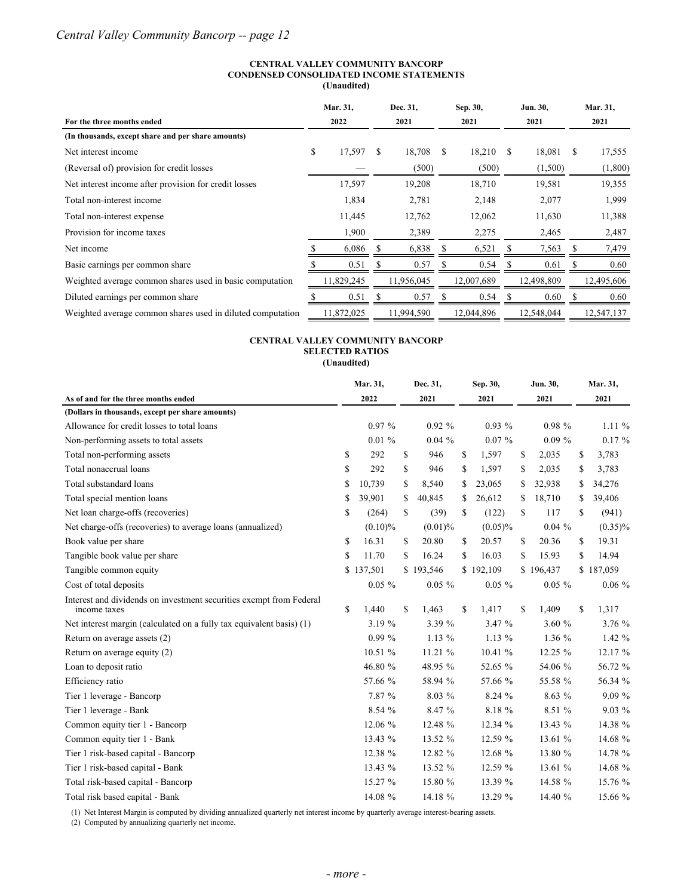#### **CENTRAL VALLEY COMMUNITY BANCORP CONDENSED CONSOLIDATED INCOME STATEMENTS**

**(Unaudited)**

|                                                            | Mar. 31,     |   | Dec. 31,   | Sep. 30,      |            |    | Jun. 30,   |      | Mar. 31,   |
|------------------------------------------------------------|--------------|---|------------|---------------|------------|----|------------|------|------------|
| For the three months ended                                 | 2022         |   | 2021       |               | 2021       |    | 2021       | 2021 |            |
| (In thousands, except share and per share amounts)         |              |   |            |               |            |    |            |      |            |
| Net interest income                                        | \$<br>17,597 | S | 18,708     | <sup>\$</sup> | 18,210     | -S | 18,081     | S    | 17,555     |
| (Reversal of) provision for credit losses                  |              |   | (500)      |               | (500)      |    | (1,500)    |      | (1,800)    |
| Net interest income after provision for credit losses      | 17,597       |   | 19,208     |               | 18,710     |    | 19,581     |      | 19,355     |
| Total non-interest income                                  | 1,834        |   | 2,781      |               | 2,148      |    | 2,077      |      | 1,999      |
| Total non-interest expense                                 | 11,445       |   | 12,762     |               | 12,062     |    | 11,630     |      | 11,388     |
| Provision for income taxes                                 | 1,900        |   | 2,389      |               | 2,275      |    | 2,465      |      | 2,487      |
| Net income                                                 | 6,086        |   | 6,838      |               | 6,521      |    | 7,563      |      | 7,479      |
| Basic earnings per common share                            | 0.51         | S | 0.57       |               | 0.54       |    | 0.61       | S    | 0.60       |
| Weighted average common shares used in basic computation   | 11,829,245   |   | 11,956,045 |               | 12,007,689 |    | 12,498,809 |      | 12,495,606 |
| Diluted earnings per common share                          | 0.51         |   | 0.57       |               | 0.54       |    | 0.60       |      | 0.60       |
| Weighted average common shares used in diluted computation | 11,872,025   |   | 11,994,590 |               | 12,044,896 |    | 12.548.044 |      | 12,547,137 |

#### **CENTRAL VALLEY COMMUNITY BANCORP SELECTED RATIOS (Unaudited)**

|                                                                                     | Mar. 31,<br>Dec. 31, |            | Sep. 30, |            | Jun. 30, |            | Mar. 31,      |           |               |            |
|-------------------------------------------------------------------------------------|----------------------|------------|----------|------------|----------|------------|---------------|-----------|---------------|------------|
| As of and for the three months ended                                                |                      | 2022       |          | 2021       | 2021     |            | 2021          |           | 2021          |            |
| (Dollars in thousands, except per share amounts)                                    |                      |            |          |            |          |            |               |           |               |            |
| Allowance for credit losses to total loans                                          |                      | 0.97%      |          | 0.92%      |          | $0.93\%$   |               | 0.98%     |               | $1.11\%$   |
| Non-performing assets to total assets                                               |                      | 0.01%      |          | $0.04\%$   |          | $0.07 \%$  |               | $0.09\%$  |               | $0.17 \%$  |
| Total non-performing assets                                                         | \$                   | 292        | \$       | 946        | \$       | 1,597      | \$            | 2,035     | \$            | 3,783      |
| Total nonaccrual loans                                                              | \$                   | 292        | \$       | 946        | \$       | 1,597      | \$            | 2,035     | \$            | 3,783      |
| Total substandard loans                                                             | \$                   | 10,739     | \$       | 8,540      | S        | 23,065     | \$            | 32,938    | \$            | 34,276     |
| Total special mention loans                                                         | \$                   | 39,901     | S        | 40,845     | S        | 26,612     | \$            | 18,710    | \$            | 39,406     |
| Net loan charge-offs (recoveries)                                                   | \$                   | (264)      | \$       | (39)       | S        | (122)      | \$            | 117       | \$            | (941)      |
| Net charge-offs (recoveries) to average loans (annualized)                          |                      | $(0.10)\%$ |          | $(0.01)\%$ |          | $(0.05)\%$ |               | $0.04\%$  |               | $(0.35)\%$ |
| Book value per share                                                                | \$                   | 16.31      | \$       | 20.80      | \$       | 20.57      | \$            | 20.36     | \$            | 19.31      |
| Tangible book value per share                                                       | \$                   | 11.70      | \$       | 16.24      | \$       | 16.03      | \$            | 15.93     | S             | 14.94      |
| Tangible common equity                                                              |                      | \$137,501  |          | \$193,546  |          | \$192,109  |               | \$196,437 |               | \$187,059  |
| Cost of total deposits                                                              |                      | $0.05\%$   |          | $0.05 \%$  |          | $0.05 \%$  |               | $0.05 \%$ |               | $0.06\%$   |
| Interest and dividends on investment securities exempt from Federal<br>income taxes | <sup>\$</sup>        | 1,440      | \$       | 1,463      | \$       | 1,417      | <sup>\$</sup> | 1,409     | <sup>\$</sup> | 1,317      |
| Net interest margin (calculated on a fully tax equivalent basis) (1)                |                      | 3.19 %     |          | 3.39 %     |          | 3.47 %     |               | 3.60 %    |               | 3.76 %     |
| Return on average assets (2)                                                        |                      | $0.99\%$   |          | $1.13\%$   |          | $1.13\%$   |               | $1.36\%$  |               | $1.42 \%$  |
| Return on average equity (2)                                                        |                      | 10.51 %    |          | 11.21 %    |          | 10.41 %    |               | 12.25 %   |               | 12.17 %    |
| Loan to deposit ratio                                                               |                      | 46.80 %    |          | 48.95 %    |          | 52.65 %    |               | 54.06 %   |               | 56.72 %    |
| Efficiency ratio                                                                    |                      | 57.66 %    |          | 58.94 %    |          | 57.66 %    |               | 55.58 %   |               | 56.34 %    |
| Tier 1 leverage - Bancorp                                                           |                      | 7.87 %     |          | 8.03 %     |          | 8.24 %     |               | 8.63 %    |               | 9.09%      |
| Tier 1 leverage - Bank                                                              |                      | 8.54%      |          | 8.47 %     |          | 8.18 %     |               | 8.51 %    |               | $9.03\%$   |
| Common equity tier 1 - Bancorp                                                      |                      | 12.06 %    |          | 12.48 %    |          | 12.34 %    |               | 13.43 %   |               | 14.38 %    |
| Common equity tier 1 - Bank                                                         |                      | 13.43 %    |          | 13.52 %    |          | 12.59 %    |               | 13.61 %   |               | 14.68 %    |
| Tier 1 risk-based capital - Bancorp                                                 |                      | 12.38 %    |          | 12.82 %    |          | 12.68 %    |               | 13.80 %   |               | 14.78 %    |
| Tier 1 risk-based capital - Bank                                                    |                      | 13.43 %    |          | 13.52 %    |          | 12.59 %    |               | 13.61 %   |               | 14.68 %    |
| Total risk-based capital - Bancorp                                                  |                      | 15.27 %    |          | 15.80 %    |          | 13.39 %    |               | 14.58 %   |               | 15.76 %    |
| Total risk based capital - Bank                                                     |                      | 14.08 %    |          | 14.18 %    |          | 13.29 %    |               | 14.40 %   |               | 15.66 %    |

(1) Net Interest Margin is computed by dividing annualized quarterly net interest income by quarterly average interest-bearing assets.

(2) Computed by annualizing quarterly net income.